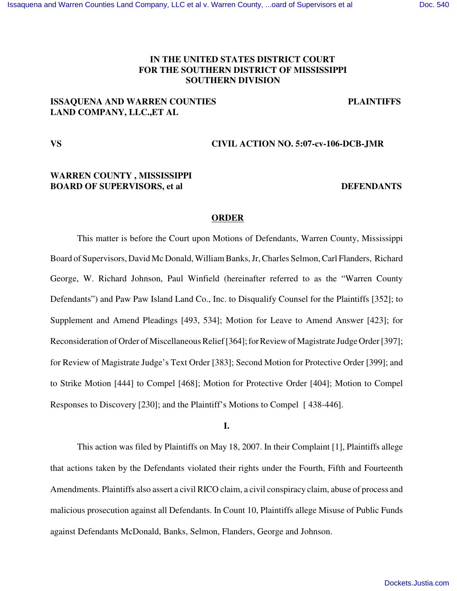# **IN THE UNITED STATES DISTRICT COURT FOR THE SOUTHERN DISTRICT OF MISSISSIPPI SOUTHERN DIVISION**

## **ISSAQUENA AND WARREN COUNTIES PLAINTIFFS LAND COMPANY, LLC.,ET AL**

# **VS CIVIL ACTION NO. 5:07-cv-106-DCB-JMR**

# **WARREN COUNTY , MISSISSIPPI BOARD OF SUPERVISORS, et al DEFENDANTS**

## **ORDER**

This matter is before the Court upon Motions of Defendants, Warren County, Mississippi Board of Supervisors, David Mc Donald, William Banks,Jr,Charles Selmon,Carl Flanders, Richard George, W. Richard Johnson, Paul Winfield (hereinafter referred to as the "Warren County Defendants") and Paw Paw Island Land Co., Inc. to Disqualify Counsel for the Plaintiffs [352]; to Supplement and Amend Pleadings [493, 534]; Motion for Leave to Amend Answer [423]; for Reconsideration of Order of Miscellaneous Relief [364]; for Review of Magistrate Judge Order [397]; for Review of Magistrate Judge's Text Order [383]; Second Motion for Protective Order [399]; and to Strike Motion [444] to Compel [468]; Motion for Protective Order [404]; Motion to Compel Responses to Discovery [230]; and the Plaintiff's Motions to Compel [ 438-446].

**I.**

This action was filed by Plaintiffs on May 18, 2007. In their Complaint [1], Plaintiffs allege that actions taken by the Defendants violated their rights under the Fourth, Fifth and Fourteenth Amendments. Plaintiffs also assert a civil RICO claim, a civil conspiracy claim, abuse of process and malicious prosecution against all Defendants. In Count 10, Plaintiffs allege Misuse of Public Funds against Defendants McDonald, Banks, Selmon, Flanders, George and Johnson.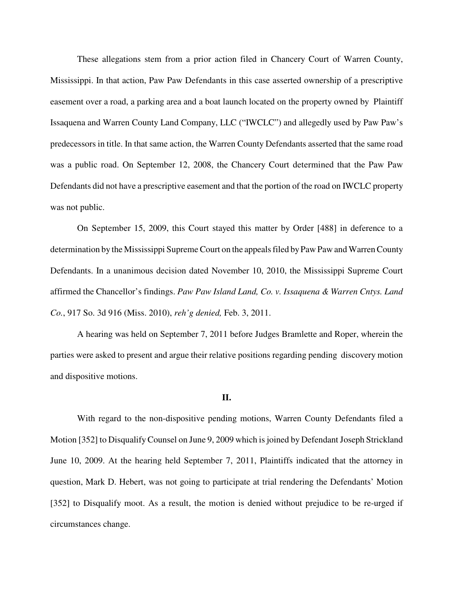These allegations stem from a prior action filed in Chancery Court of Warren County, Mississippi. In that action, Paw Paw Defendants in this case asserted ownership of a prescriptive easement over a road, a parking area and a boat launch located on the property owned by Plaintiff Issaquena and Warren County Land Company, LLC ("IWCLC") and allegedly used by Paw Paw's predecessors in title. In that same action, the Warren County Defendants asserted that the same road was a public road. On September 12, 2008, the Chancery Court determined that the Paw Paw Defendants did not have a prescriptive easement and that the portion of the road on IWCLC property was not public.

On September 15, 2009, this Court stayed this matter by Order [488] in deference to a determination by the Mississippi Supreme Court on the appeals filed by Paw Paw and Warren County Defendants. In a unanimous decision dated November 10, 2010, the Mississippi Supreme Court affirmed the Chancellor's findings. *Paw Paw Island Land, Co. v. Issaquena & Warren Cntys. Land Co.*, 917 So. 3d 916 (Miss. 2010), *reh'g denied,* Feb. 3, 2011.

A hearing was held on September 7, 2011 before Judges Bramlette and Roper, wherein the parties were asked to present and argue their relative positions regarding pending discovery motion and dispositive motions.

#### **II.**

With regard to the non-dispositive pending motions, Warren County Defendants filed a Motion [352] to Disqualify Counsel on June 9, 2009 which is joined by Defendant Joseph Strickland June 10, 2009. At the hearing held September 7, 2011, Plaintiffs indicated that the attorney in question, Mark D. Hebert, was not going to participate at trial rendering the Defendants' Motion [352] to Disqualify moot. As a result, the motion is denied without prejudice to be re-urged if circumstances change.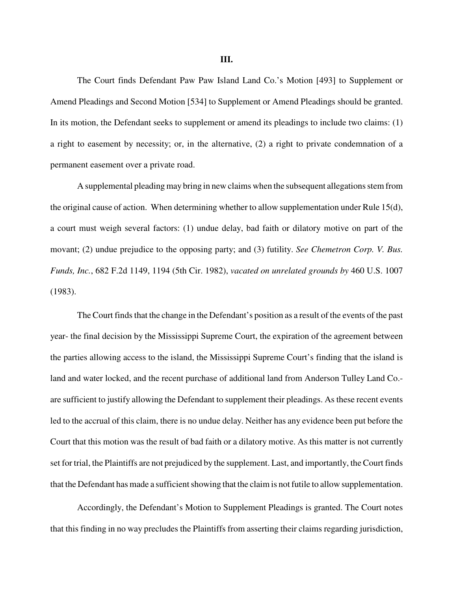**III.**

The Court finds Defendant Paw Paw Island Land Co.'s Motion [493] to Supplement or Amend Pleadings and Second Motion [534] to Supplement or Amend Pleadings should be granted. In its motion, the Defendant seeks to supplement or amend its pleadings to include two claims: (1) a right to easement by necessity; or, in the alternative, (2) a right to private condemnation of a permanent easement over a private road.

A supplemental pleading may bring in new claims when the subsequent allegations stem from the original cause of action. When determining whether to allow supplementation under Rule 15(d), a court must weigh several factors: (1) undue delay, bad faith or dilatory motive on part of the movant; (2) undue prejudice to the opposing party; and (3) futility. *See Chemetron Corp. V. Bus. Funds, Inc.*, 682 F.2d 1149, 1194 (5th Cir. 1982), *vacated on unrelated grounds by* 460 U.S. 1007 (1983).

The Court finds that the change in the Defendant's position as a result of the events of the past year- the final decision by the Mississippi Supreme Court, the expiration of the agreement between the parties allowing access to the island, the Mississippi Supreme Court's finding that the island is land and water locked, and the recent purchase of additional land from Anderson Tulley Land Co. are sufficient to justify allowing the Defendant to supplement their pleadings. As these recent events led to the accrual of this claim, there is no undue delay. Neither has any evidence been put before the Court that this motion was the result of bad faith or a dilatory motive. As this matter is not currently set for trial, the Plaintiffs are not prejudiced by the supplement. Last, and importantly, the Court finds that the Defendant has made a sufficient showing that the claim is not futile to allow supplementation.

Accordingly, the Defendant's Motion to Supplement Pleadings is granted. The Court notes that this finding in no way precludes the Plaintiffs from asserting their claims regarding jurisdiction,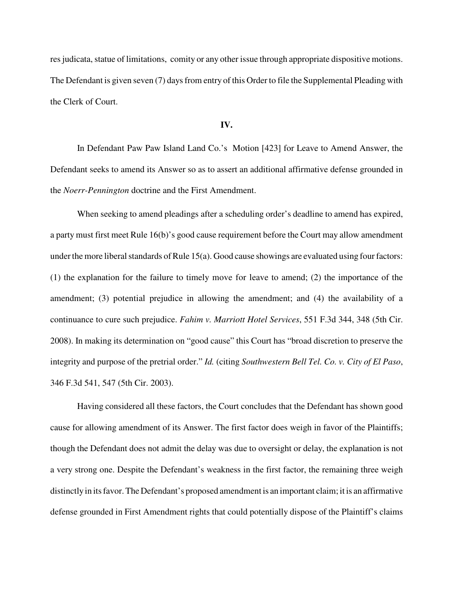res judicata, statue of limitations, comity or any other issue through appropriate dispositive motions. The Defendant is given seven (7) daysfrom entry of this Order to file the Supplemental Pleading with the Clerk of Court.

#### **IV.**

In Defendant Paw Paw Island Land Co.'s Motion [423] for Leave to Amend Answer, the Defendant seeks to amend its Answer so as to assert an additional affirmative defense grounded in the *Noerr-Pennington* doctrine and the First Amendment.

When seeking to amend pleadings after a scheduling order's deadline to amend has expired, a party must first meet Rule 16(b)'s good cause requirement before the Court may allow amendment under the more liberal standards of Rule  $15(a)$ . Good cause showings are evaluated using four factors: (1) the explanation for the failure to timely move for leave to amend; (2) the importance of the amendment; (3) potential prejudice in allowing the amendment; and (4) the availability of a continuance to cure such prejudice. *Fahim v. Marriott Hotel Services*, 551 F.3d 344, 348 (5th Cir. 2008). In making its determination on "good cause" this Court has "broad discretion to preserve the integrity and purpose of the pretrial order." *Id.* (citing *Southwestern Bell Tel. Co. v. City of El Paso*, 346 F.3d 541, 547 (5th Cir. 2003).

Having considered all these factors, the Court concludes that the Defendant has shown good cause for allowing amendment of its Answer. The first factor does weigh in favor of the Plaintiffs; though the Defendant does not admit the delay was due to oversight or delay, the explanation is not a very strong one. Despite the Defendant's weakness in the first factor, the remaining three weigh distinctly in itsfavor.The Defendant's proposed amendment is an important claim; it is an affirmative defense grounded in First Amendment rights that could potentially dispose of the Plaintiff's claims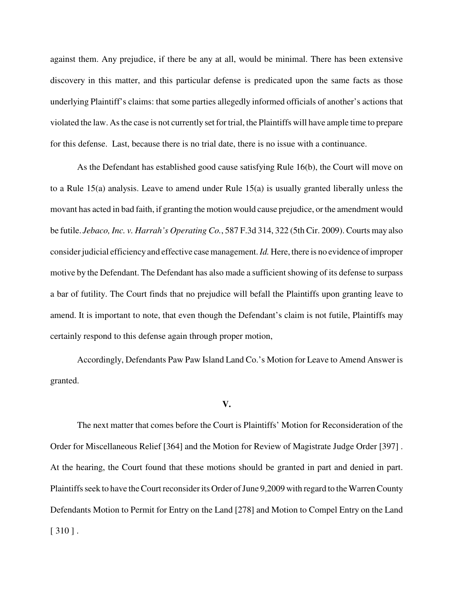against them. Any prejudice, if there be any at all, would be minimal. There has been extensive discovery in this matter, and this particular defense is predicated upon the same facts as those underlying Plaintiff's claims: that some parties allegedly informed officials of another's actions that violated the law. Asthe case is not currently set for trial, the Plaintiffs will have ample time to prepare for this defense. Last, because there is no trial date, there is no issue with a continuance.

As the Defendant has established good cause satisfying Rule 16(b), the Court will move on to a Rule 15(a) analysis. Leave to amend under Rule 15(a) is usually granted liberally unless the movant has acted in bad faith, if granting the motion would cause prejudice, or the amendment would be futile. *Jebaco, Inc. v. Harrah's Operating Co.*, 587 F.3d 314, 322 (5th Cir. 2009). Courts may also consider judicial efficiency and effective case management. *Id.* Here, there is no evidence of improper motive by the Defendant. The Defendant has also made a sufficient showing of its defense to surpass a bar of futility. The Court finds that no prejudice will befall the Plaintiffs upon granting leave to amend. It is important to note, that even though the Defendant's claim is not futile, Plaintiffs may certainly respond to this defense again through proper motion,

Accordingly, Defendants Paw Paw Island Land Co.'s Motion for Leave to Amend Answer is granted.

#### **V.**

The next matter that comes before the Court is Plaintiffs' Motion for Reconsideration of the Order for Miscellaneous Relief [364] and the Motion for Review of Magistrate Judge Order [397] . At the hearing, the Court found that these motions should be granted in part and denied in part. Plaintiffs seek to have the Court reconsider its Order of June 9,2009 with regard to the Warren County Defendants Motion to Permit for Entry on the Land [278] and Motion to Compel Entry on the Land  $[310]$ .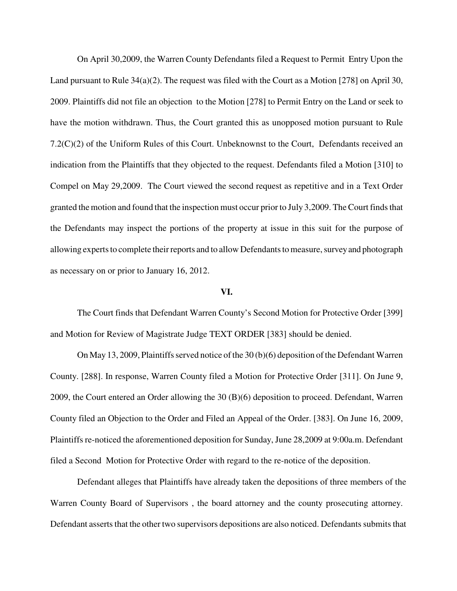On April 30,2009, the Warren County Defendants filed a Request to Permit Entry Upon the Land pursuant to Rule  $34(a)(2)$ . The request was filed with the Court as a Motion [278] on April 30, 2009. Plaintiffs did not file an objection to the Motion [278] to Permit Entry on the Land or seek to have the motion withdrawn. Thus, the Court granted this as unopposed motion pursuant to Rule 7.2(C)(2) of the Uniform Rules of this Court. Unbeknownst to the Court, Defendants received an indication from the Plaintiffs that they objected to the request. Defendants filed a Motion [310] to Compel on May 29,2009. The Court viewed the second request as repetitive and in a Text Order granted the motion and found that the inspection must occur prior to July 3,2009. The Court finds that the Defendants may inspect the portions of the property at issue in this suit for the purpose of allowing experts to complete their reports and to allow Defendants to measure, survey and photograph as necessary on or prior to January 16, 2012.

### **VI.**

The Court finds that Defendant Warren County's Second Motion for Protective Order [399] and Motion for Review of Magistrate Judge TEXT ORDER [383] should be denied.

On May 13, 2009, Plaintiffs served notice of the 30 (b)(6) deposition of the Defendant Warren County. [288]. In response, Warren County filed a Motion for Protective Order [311]. On June 9, 2009, the Court entered an Order allowing the 30 (B)(6) deposition to proceed. Defendant, Warren County filed an Objection to the Order and Filed an Appeal of the Order. [383]. On June 16, 2009, Plaintiffs re-noticed the aforementioned deposition for Sunday, June 28,2009 at 9:00a.m. Defendant filed a Second Motion for Protective Order with regard to the re-notice of the deposition.

Defendant alleges that Plaintiffs have already taken the depositions of three members of the Warren County Board of Supervisors , the board attorney and the county prosecuting attorney. Defendant asserts that the other two supervisors depositions are also noticed. Defendants submits that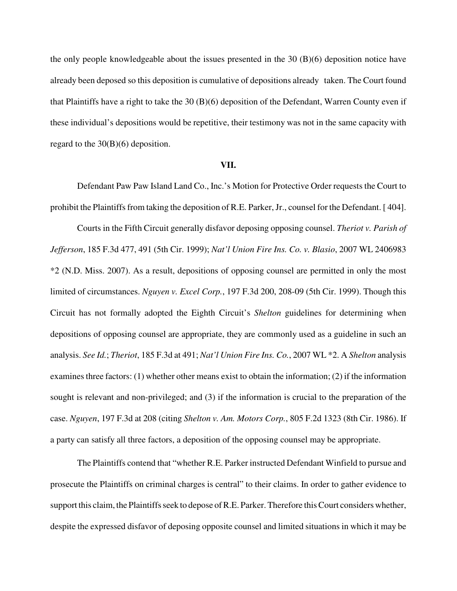the only people knowledgeable about the issues presented in the 30 (B)(6) deposition notice have already been deposed so this deposition is cumulative of depositions already taken. The Court found that Plaintiffs have a right to take the 30 (B)(6) deposition of the Defendant, Warren County even if these individual's depositions would be repetitive, their testimony was not in the same capacity with regard to the 30(B)(6) deposition.

### **VII.**

Defendant Paw Paw Island Land Co., Inc.'s Motion for Protective Order requests the Court to prohibit the Plaintiffs from taking the deposition of R.E. Parker, Jr., counsel for the Defendant. [404].

Courts in the Fifth Circuit generally disfavor deposing opposing counsel. *Theriot v. Parish of Jefferson*, 185 F.3d 477, 491 (5th Cir. 1999); *Nat'l Union Fire Ins. Co. v. Blasio*, 2007 WL 2406983 \*2 (N.D. Miss. 2007). As a result, depositions of opposing counsel are permitted in only the most limited of circumstances. *Nguyen v. Excel Corp.*, 197 F.3d 200, 208-09 (5th Cir. 1999). Though this Circuit has not formally adopted the Eighth Circuit's *Shelton* guidelines for determining when depositions of opposing counsel are appropriate, they are commonly used as a guideline in such an analysis. *See Id.*; *Theriot*, 185 F.3d at 491; *Nat'l Union Fire Ins. Co.*, 2007 WL \*2. A *Shelton* analysis examines three factors: (1) whether other means exist to obtain the information; (2) if the information sought is relevant and non-privileged; and (3) if the information is crucial to the preparation of the case. *Nguyen*, 197 F.3d at 208 (citing *Shelton v. Am. Motors Corp.*, 805 F.2d 1323 (8th Cir. 1986). If a party can satisfy all three factors, a deposition of the opposing counsel may be appropriate.

The Plaintiffs contend that "whether R.E. Parker instructed Defendant Winfield to pursue and prosecute the Plaintiffs on criminal charges is central" to their claims. In order to gather evidence to support this claim, the Plaintiffs seek to depose of R.E. Parker. Therefore this Court considers whether, despite the expressed disfavor of deposing opposite counsel and limited situations in which it may be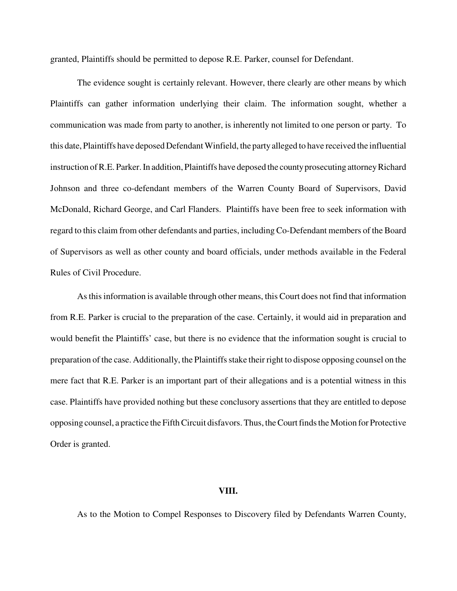granted, Plaintiffs should be permitted to depose R.E. Parker, counsel for Defendant.

The evidence sought is certainly relevant. However, there clearly are other means by which Plaintiffs can gather information underlying their claim. The information sought, whether a communication was made from party to another, is inherently not limited to one person or party. To this date, Plaintiffs have deposed DefendantWinfield, the partyalleged to have received the influential instruction of R.E. Parker. In addition, Plaintiffs have deposed the county prosecuting attorney Richard Johnson and three co-defendant members of the Warren County Board of Supervisors, David McDonald, Richard George, and Carl Flanders. Plaintiffs have been free to seek information with regard to this claim from other defendants and parties, including Co-Defendant members of the Board of Supervisors as well as other county and board officials, under methods available in the Federal Rules of Civil Procedure.

Asthisinformation is available through other means, this Court does not find that information from R.E. Parker is crucial to the preparation of the case. Certainly, it would aid in preparation and would benefit the Plaintiffs' case, but there is no evidence that the information sought is crucial to preparation of the case. Additionally, the Plaintiffsstake their right to dispose opposing counsel on the mere fact that R.E. Parker is an important part of their allegations and is a potential witness in this case. Plaintiffs have provided nothing but these conclusory assertions that they are entitled to depose opposing counsel, a practice the FifthCircuit disfavors.Thus, theCourtfindstheMotion for Protective Order is granted.

#### **VIII.**

As to the Motion to Compel Responses to Discovery filed by Defendants Warren County,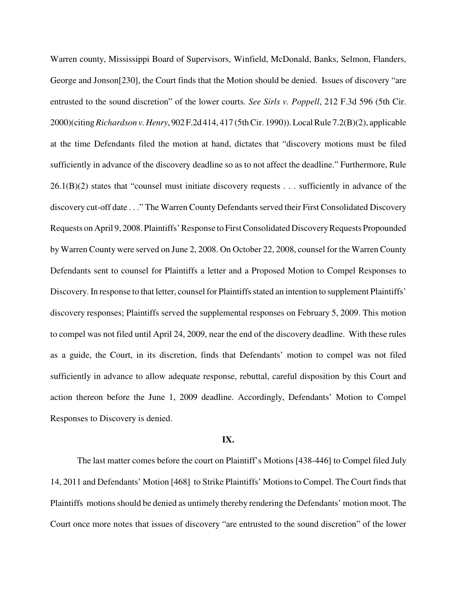Warren county, Mississippi Board of Supervisors, Winfield, McDonald, Banks, Selmon, Flanders, George and Jonson[230], the Court finds that the Motion should be denied. Issues of discovery "are entrusted to the sound discretion" of the lower courts. *See Sirls v. Poppell*, 212 F.3d 596 (5th Cir. 2000)(citing*Richardson v. Henry*, 902 F.2d 414, 417 (5thCir. 1990)).LocalRule 7.2(B)(2), applicable at the time Defendants filed the motion at hand, dictates that "discovery motions must be filed sufficiently in advance of the discovery deadline so as to not affect the deadline." Furthermore, Rule 26.1(B)(2) states that "counsel must initiate discovery requests . . . sufficiently in advance of the discovery cut-off date . . ." The Warren County Defendants served their First Consolidated Discovery Requests on April 9, 2008. Plaintiffs' Response to First Consolidated Discovery Requests Propounded by Warren County were served on June 2, 2008. On October 22, 2008, counsel for the Warren County Defendants sent to counsel for Plaintiffs a letter and a Proposed Motion to Compel Responses to Discovery. In response to that letter, counsel for Plaintiffs stated an intention to supplement Plaintiffs' discovery responses; Plaintiffs served the supplemental responses on February 5, 2009. This motion to compel was not filed until April 24, 2009, near the end of the discovery deadline. With these rules as a guide, the Court, in its discretion, finds that Defendants' motion to compel was not filed sufficiently in advance to allow adequate response, rebuttal, careful disposition by this Court and action thereon before the June 1, 2009 deadline. Accordingly, Defendants' Motion to Compel Responses to Discovery is denied.

## **IX.**

The last matter comes before the court on Plaintiff's Motions [438-446] to Compel filed July 14, 2011 and Defendants' Motion [468] to Strike Plaintiffs' Motions to Compel. The Court finds that Plaintiffs motions should be denied as untimely thereby rendering the Defendants' motion moot. The Court once more notes that issues of discovery "are entrusted to the sound discretion" of the lower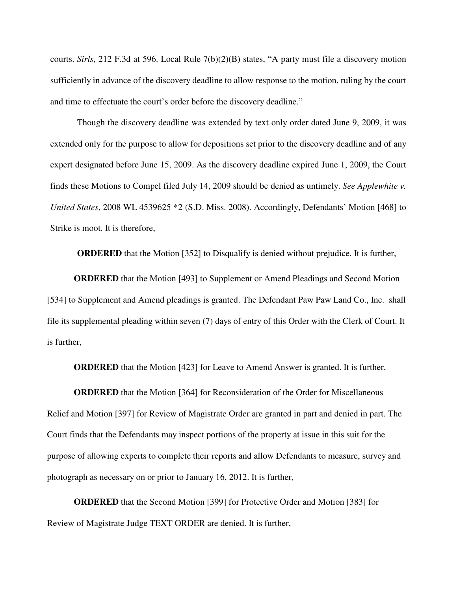courts. *Sirls*, 212 F.3d at 596. Local Rule 7(b)(2)(B) states, "A party must file a discovery motion sufficiently in advance of the discovery deadline to allow response to the motion, ruling by the court and time to effectuate the court's order before the discovery deadline."

Though the discovery deadline was extended by text only order dated June 9, 2009, it was extended only for the purpose to allow for depositions set prior to the discovery deadline and of any expert designated before June 15, 2009. As the discovery deadline expired June 1, 2009, the Court finds these Motions to Compel filed July 14, 2009 should be denied as untimely. *See Applewhite v. United States*, 2008 WL 4539625 \*2 (S.D. Miss. 2008). Accordingly, Defendants' Motion [468] to Strike is moot. It is therefore,

**ORDERED** that the Motion [352] to Disqualify is denied without prejudice. It is further,

**ORDERED** that the Motion [493] to Supplement or Amend Pleadings and Second Motion [534] to Supplement and Amend pleadings is granted. The Defendant Paw Paw Land Co., Inc. shall file its supplemental pleading within seven (7) days of entry of this Order with the Clerk of Court. It is further,

**ORDERED** that the Motion [423] for Leave to Amend Answer is granted. It is further,

**ORDERED** that the Motion [364] for Reconsideration of the Order for Miscellaneous Relief and Motion [397] for Review of Magistrate Order are granted in part and denied in part. The Court finds that the Defendants may inspect portions of the property at issue in this suit for the purpose of allowing experts to complete their reports and allow Defendants to measure, survey and photograph as necessary on or prior to January 16, 2012. It is further,

**ORDERED** that the Second Motion [399] for Protective Order and Motion [383] for Review of Magistrate Judge TEXT ORDER are denied. It is further,